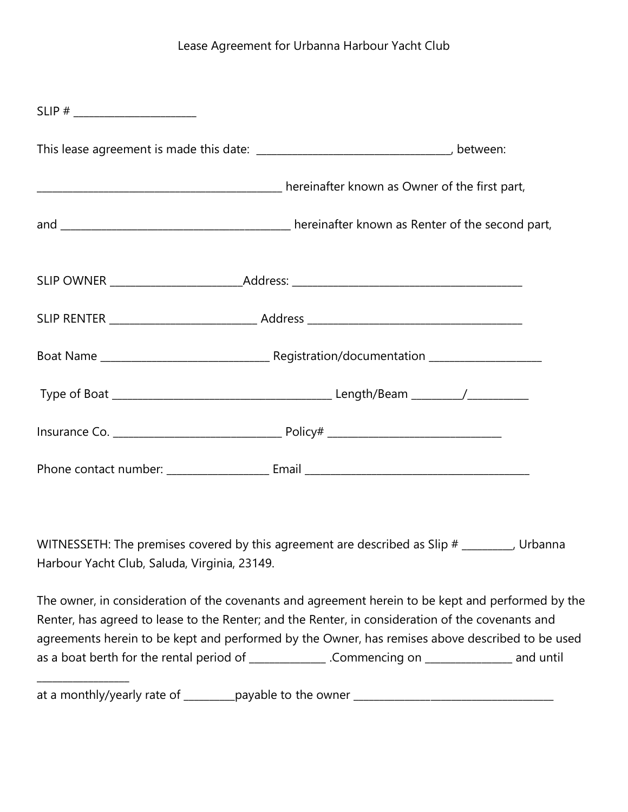| $SLIP$ # ________________________ |                                                                                  |
|-----------------------------------|----------------------------------------------------------------------------------|
|                                   |                                                                                  |
|                                   | nereinafter known as Owner of the first part,                                    |
|                                   |                                                                                  |
|                                   | SLIP OWNER ____________________________Address: ________________________________ |
|                                   |                                                                                  |
|                                   |                                                                                  |
|                                   |                                                                                  |
|                                   |                                                                                  |
|                                   |                                                                                  |

WITNESSETH: The premises covered by this agreement are described as Slip # \_\_\_\_\_\_\_, Urbanna Harbour Yacht Club, Saluda, Virginia, 23149.

The owner, in consideration of the covenants and agreement herein to be kept and performed by the Renter, has agreed to lease to the Renter; and the Renter, in consideration of the covenants and agreements herein to be kept and performed by the Owner, has remises above described to be used as a boat berth for the rental period of \_\_\_\_\_\_\_\_\_\_\_\_\_\_. Commencing on \_\_\_\_\_\_\_\_\_\_\_\_\_\_\_\_\_ and until

at a monthly/yearly rate of \_\_\_\_\_\_\_\_\_\_payable to the owner \_\_\_\_\_\_\_\_\_\_\_\_\_\_\_\_\_\_\_\_\_\_\_\_\_\_\_\_\_\_\_\_\_\_\_\_\_\_\_

\_\_\_\_\_\_\_\_\_\_\_\_\_\_\_\_\_\_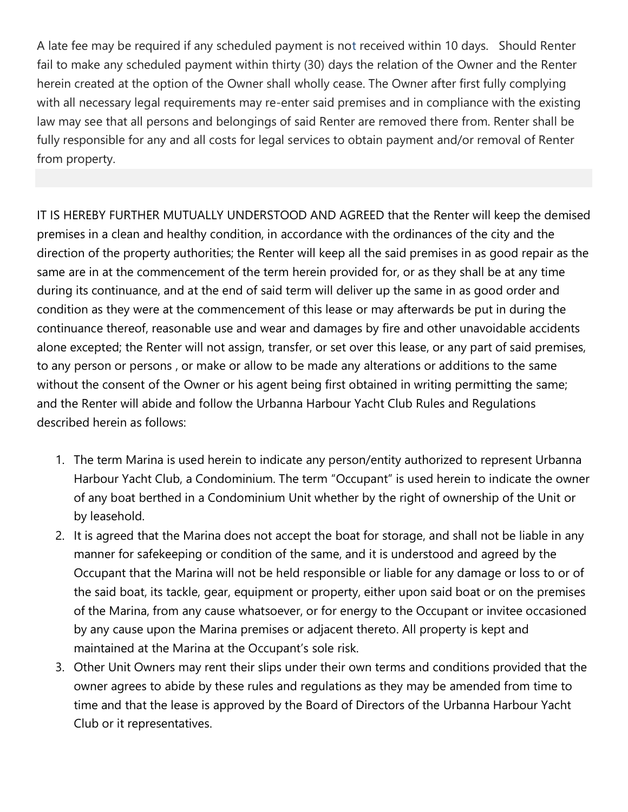A late fee may be required if any scheduled payment is not received within 10 days. Should Renter fail to make any scheduled payment within thirty (30) days the relation of the Owner and the Renter herein created at the option of the Owner shall wholly cease. The Owner after first fully complying with all necessary legal requirements may re-enter said premises and in compliance with the existing law may see that all persons and belongings of said Renter are removed there from. Renter shall be fully responsible for any and all costs for legal services to obtain payment and/or removal of Renter from property.

IT IS HEREBY FURTHER MUTUALLY UNDERSTOOD AND AGREED that the Renter will keep the demised premises in a clean and healthy condition, in accordance with the ordinances of the city and the direction of the property authorities; the Renter will keep all the said premises in as good repair as the same are in at the commencement of the term herein provided for, or as they shall be at any time during its continuance, and at the end of said term will deliver up the same in as good order and condition as they were at the commencement of this lease or may afterwards be put in during the continuance thereof, reasonable use and wear and damages by fire and other unavoidable accidents alone excepted; the Renter will not assign, transfer, or set over this lease, or any part of said premises, to any person or persons , or make or allow to be made any alterations or additions to the same without the consent of the Owner or his agent being first obtained in writing permitting the same; and the Renter will abide and follow the Urbanna Harbour Yacht Club Rules and Regulations described herein as follows:

- 1. The term Marina is used herein to indicate any person/entity authorized to represent Urbanna Harbour Yacht Club, a Condominium. The term "Occupant" is used herein to indicate the owner of any boat berthed in a Condominium Unit whether by the right of ownership of the Unit or by leasehold.
- 2. It is agreed that the Marina does not accept the boat for storage, and shall not be liable in any manner for safekeeping or condition of the same, and it is understood and agreed by the Occupant that the Marina will not be held responsible or liable for any damage or loss to or of the said boat, its tackle, gear, equipment or property, either upon said boat or on the premises of the Marina, from any cause whatsoever, or for energy to the Occupant or invitee occasioned by any cause upon the Marina premises or adjacent thereto. All property is kept and maintained at the Marina at the Occupant's sole risk.
- 3. Other Unit Owners may rent their slips under their own terms and conditions provided that the owner agrees to abide by these rules and regulations as they may be amended from time to time and that the lease is approved by the Board of Directors of the Urbanna Harbour Yacht Club or it representatives.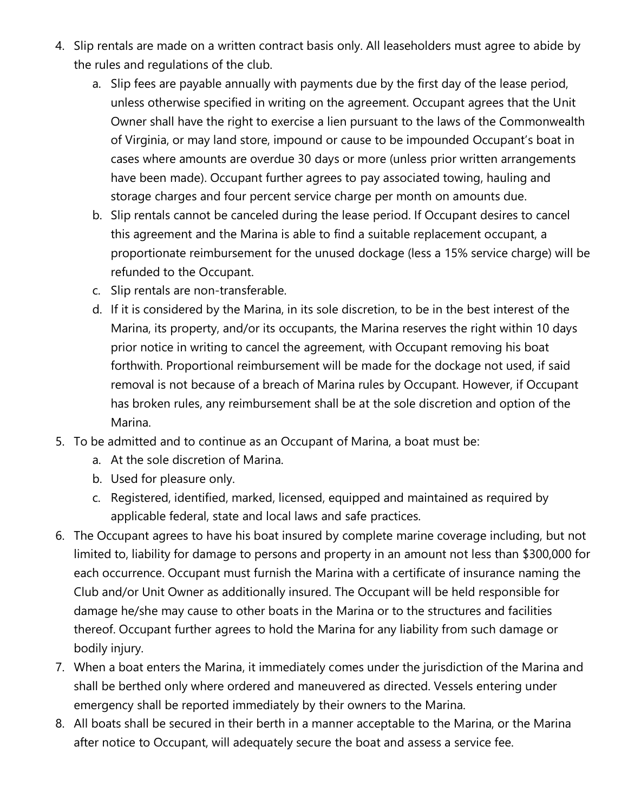- 4. Slip rentals are made on a written contract basis only. All leaseholders must agree to abide by the rules and regulations of the club.
	- a. Slip fees are payable annually with payments due by the first day of the lease period, unless otherwise specified in writing on the agreement. Occupant agrees that the Unit Owner shall have the right to exercise a lien pursuant to the laws of the Commonwealth of Virginia, or may land store, impound or cause to be impounded Occupant's boat in cases where amounts are overdue 30 days or more (unless prior written arrangements have been made). Occupant further agrees to pay associated towing, hauling and storage charges and four percent service charge per month on amounts due.
	- b. Slip rentals cannot be canceled during the lease period. If Occupant desires to cancel this agreement and the Marina is able to find a suitable replacement occupant, a proportionate reimbursement for the unused dockage (less a 15% service charge) will be refunded to the Occupant.
	- c. Slip rentals are non-transferable.
	- d. If it is considered by the Marina, in its sole discretion, to be in the best interest of the Marina, its property, and/or its occupants, the Marina reserves the right within 10 days prior notice in writing to cancel the agreement, with Occupant removing his boat forthwith. Proportional reimbursement will be made for the dockage not used, if said removal is not because of a breach of Marina rules by Occupant. However, if Occupant has broken rules, any reimbursement shall be at the sole discretion and option of the Marina.
- 5. To be admitted and to continue as an Occupant of Marina, a boat must be:
	- a. At the sole discretion of Marina.
	- b. Used for pleasure only.
	- c. Registered, identified, marked, licensed, equipped and maintained as required by applicable federal, state and local laws and safe practices.
- 6. The Occupant agrees to have his boat insured by complete marine coverage including, but not limited to, liability for damage to persons and property in an amount not less than \$300,000 for each occurrence. Occupant must furnish the Marina with a certificate of insurance naming the Club and/or Unit Owner as additionally insured. The Occupant will be held responsible for damage he/she may cause to other boats in the Marina or to the structures and facilities thereof. Occupant further agrees to hold the Marina for any liability from such damage or bodily injury.
- 7. When a boat enters the Marina, it immediately comes under the jurisdiction of the Marina and shall be berthed only where ordered and maneuvered as directed. Vessels entering under emergency shall be reported immediately by their owners to the Marina.
- 8. All boats shall be secured in their berth in a manner acceptable to the Marina, or the Marina after notice to Occupant, will adequately secure the boat and assess a service fee.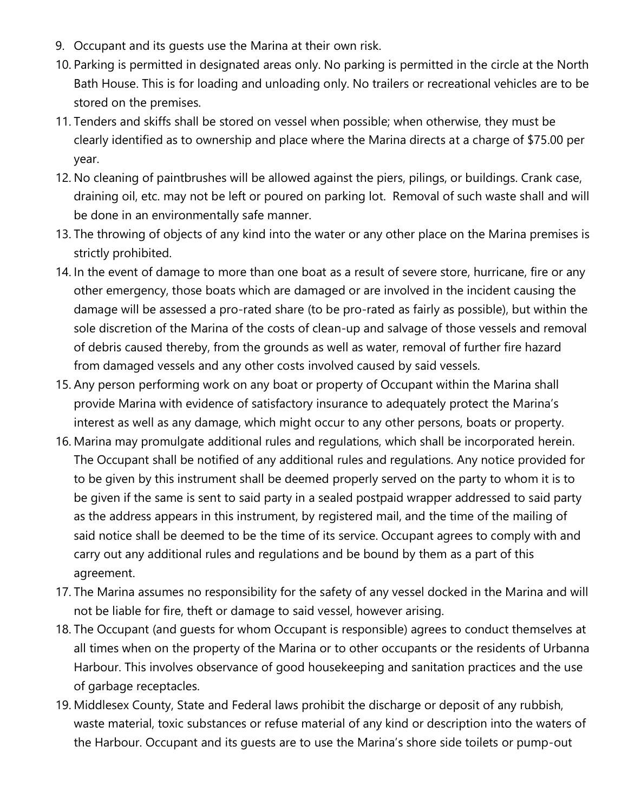- 9. Occupant and its guests use the Marina at their own risk.
- 10. Parking is permitted in designated areas only. No parking is permitted in the circle at the North Bath House. This is for loading and unloading only. No trailers or recreational vehicles are to be stored on the premises.
- 11. Tenders and skiffs shall be stored on vessel when possible; when otherwise, they must be clearly identified as to ownership and place where the Marina directs at a charge of \$75.00 per year.
- 12. No cleaning of paintbrushes will be allowed against the piers, pilings, or buildings. Crank case, draining oil, etc. may not be left or poured on parking lot. Removal of such waste shall and will be done in an environmentally safe manner.
- 13. The throwing of objects of any kind into the water or any other place on the Marina premises is strictly prohibited.
- 14. In the event of damage to more than one boat as a result of severe store, hurricane, fire or any other emergency, those boats which are damaged or are involved in the incident causing the damage will be assessed a pro-rated share (to be pro-rated as fairly as possible), but within the sole discretion of the Marina of the costs of clean-up and salvage of those vessels and removal of debris caused thereby, from the grounds as well as water, removal of further fire hazard from damaged vessels and any other costs involved caused by said vessels.
- 15. Any person performing work on any boat or property of Occupant within the Marina shall provide Marina with evidence of satisfactory insurance to adequately protect the Marina's interest as well as any damage, which might occur to any other persons, boats or property.
- 16. Marina may promulgate additional rules and regulations, which shall be incorporated herein. The Occupant shall be notified of any additional rules and regulations. Any notice provided for to be given by this instrument shall be deemed properly served on the party to whom it is to be given if the same is sent to said party in a sealed postpaid wrapper addressed to said party as the address appears in this instrument, by registered mail, and the time of the mailing of said notice shall be deemed to be the time of its service. Occupant agrees to comply with and carry out any additional rules and regulations and be bound by them as a part of this agreement.
- 17. The Marina assumes no responsibility for the safety of any vessel docked in the Marina and will not be liable for fire, theft or damage to said vessel, however arising.
- 18. The Occupant (and guests for whom Occupant is responsible) agrees to conduct themselves at all times when on the property of the Marina or to other occupants or the residents of Urbanna Harbour. This involves observance of good housekeeping and sanitation practices and the use of garbage receptacles.
- 19. Middlesex County, State and Federal laws prohibit the discharge or deposit of any rubbish, waste material, toxic substances or refuse material of any kind or description into the waters of the Harbour. Occupant and its guests are to use the Marina's shore side toilets or pump-out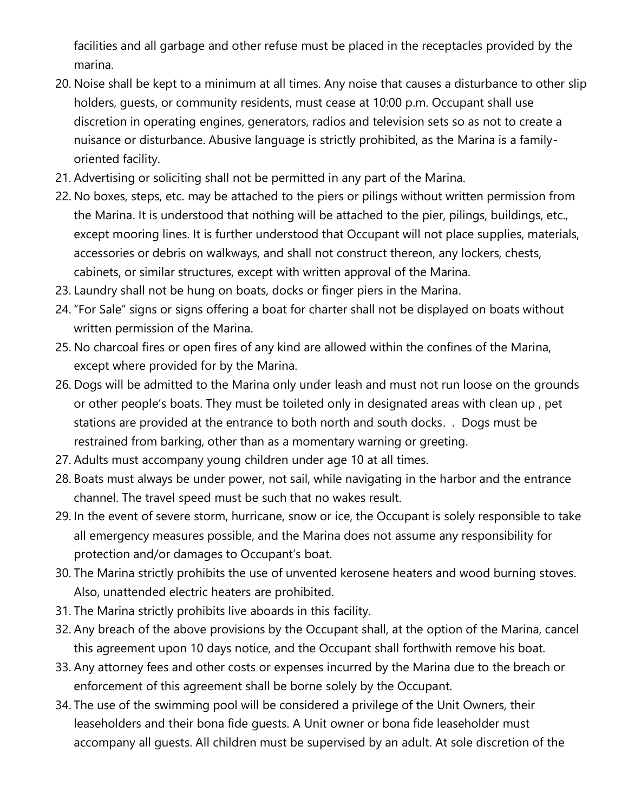facilities and all garbage and other refuse must be placed in the receptacles provided by the marina.

- 20. Noise shall be kept to a minimum at all times. Any noise that causes a disturbance to other slip holders, guests, or community residents, must cease at 10:00 p.m. Occupant shall use discretion in operating engines, generators, radios and television sets so as not to create a nuisance or disturbance. Abusive language is strictly prohibited, as the Marina is a familyoriented facility.
- 21. Advertising or soliciting shall not be permitted in any part of the Marina.
- 22. No boxes, steps, etc. may be attached to the piers or pilings without written permission from the Marina. It is understood that nothing will be attached to the pier, pilings, buildings, etc., except mooring lines. It is further understood that Occupant will not place supplies, materials, accessories or debris on walkways, and shall not construct thereon, any lockers, chests, cabinets, or similar structures, except with written approval of the Marina.
- 23. Laundry shall not be hung on boats, docks or finger piers in the Marina.
- 24. "For Sale" signs or signs offering a boat for charter shall not be displayed on boats without written permission of the Marina.
- 25. No charcoal fires or open fires of any kind are allowed within the confines of the Marina, except where provided for by the Marina.
- 26. Dogs will be admitted to the Marina only under leash and must not run loose on the grounds or other people's boats. They must be toileted only in designated areas with clean up , pet stations are provided at the entrance to both north and south docks. . Dogs must be restrained from barking, other than as a momentary warning or greeting.
- 27. Adults must accompany young children under age 10 at all times.
- 28. Boats must always be under power, not sail, while navigating in the harbor and the entrance channel. The travel speed must be such that no wakes result.
- 29. In the event of severe storm, hurricane, snow or ice, the Occupant is solely responsible to take all emergency measures possible, and the Marina does not assume any responsibility for protection and/or damages to Occupant's boat.
- 30. The Marina strictly prohibits the use of unvented kerosene heaters and wood burning stoves. Also, unattended electric heaters are prohibited.
- 31. The Marina strictly prohibits live aboards in this facility.
- 32. Any breach of the above provisions by the Occupant shall, at the option of the Marina, cancel this agreement upon 10 days notice, and the Occupant shall forthwith remove his boat.
- 33. Any attorney fees and other costs or expenses incurred by the Marina due to the breach or enforcement of this agreement shall be borne solely by the Occupant.
- 34. The use of the swimming pool will be considered a privilege of the Unit Owners, their leaseholders and their bona fide guests. A Unit owner or bona fide leaseholder must accompany all guests. All children must be supervised by an adult. At sole discretion of the